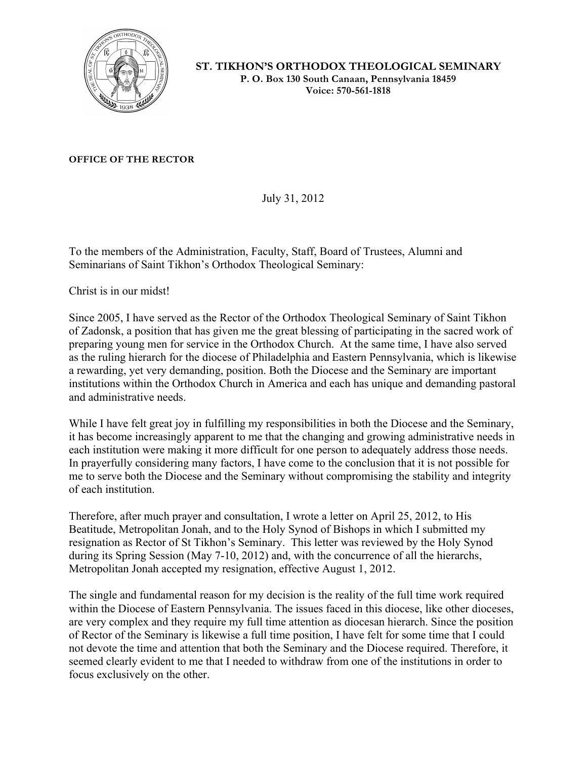

**ST. TIKHON'S ORTHODOX THEOLOGICAL SEMINARY P. O. Box 130 South Canaan, Pennsylvania 18459 Voice: 570-561-1818**

**OFFICE OF THE RECTOR**

July 31, 2012

To the members of the Administration, Faculty, Staff, Board of Trustees, Alumni and Seminarians of Saint Tikhon's Orthodox Theological Seminary:

Christ is in our midst!

Since 2005, I have served as the Rector of the Orthodox Theological Seminary of Saint Tikhon of Zadonsk, a position that has given me the great blessing of participating in the sacred work of preparing young men for service in the Orthodox Church. At the same time, I have also served as the ruling hierarch for the diocese of Philadelphia and Eastern Pennsylvania, which is likewise a rewarding, yet very demanding, position. Both the Diocese and the Seminary are important institutions within the Orthodox Church in America and each has unique and demanding pastoral and administrative needs.

While I have felt great joy in fulfilling my responsibilities in both the Diocese and the Seminary, it has become increasingly apparent to me that the changing and growing administrative needs in each institution were making it more difficult for one person to adequately address those needs. In prayerfully considering many factors, I have come to the conclusion that it is not possible for me to serve both the Diocese and the Seminary without compromising the stability and integrity of each institution.

Therefore, after much prayer and consultation, I wrote a letter on April 25, 2012, to His Beatitude, Metropolitan Jonah, and to the Holy Synod of Bishops in which I submitted my resignation as Rector of St Tikhon's Seminary. This letter was reviewed by the Holy Synod during its Spring Session (May 7-10, 2012) and, with the concurrence of all the hierarchs, Metropolitan Jonah accepted my resignation, effective August 1, 2012.

The single and fundamental reason for my decision is the reality of the full time work required within the Diocese of Eastern Pennsylvania. The issues faced in this diocese, like other dioceses, are very complex and they require my full time attention as diocesan hierarch. Since the position of Rector of the Seminary is likewise a full time position, I have felt for some time that I could not devote the time and attention that both the Seminary and the Diocese required. Therefore, it seemed clearly evident to me that I needed to withdraw from one of the institutions in order to focus exclusively on the other.